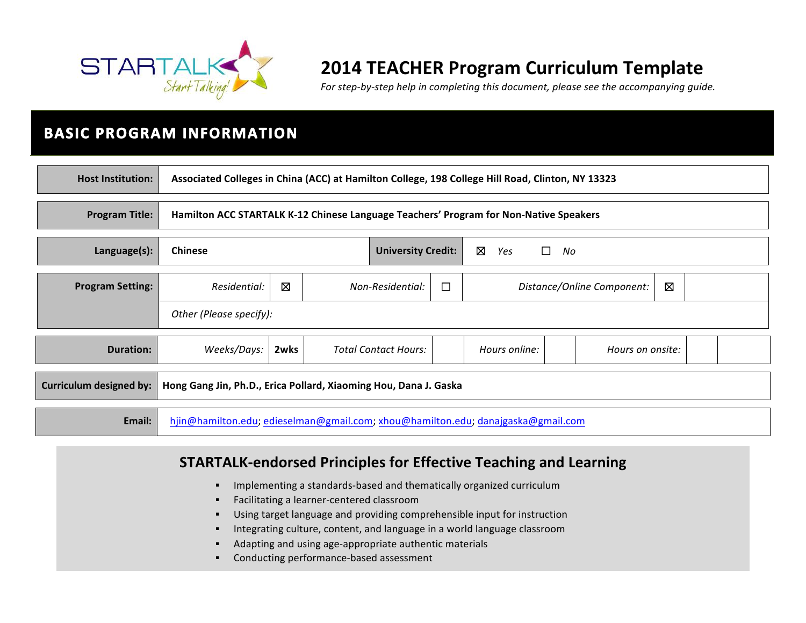

# **2014 TEACHER Program Curriculum Template**

For step-by-step help in completing this document, please see the accompanying quide.

# **BASIC PROGRAM INFORMATION**

| <b>Host Institution:</b>                                                                           | Associated Colleges in China (ACC) at Hamilton College, 198 College Hill Road, Clinton, NY 13323 |                                                               |  |  |
|----------------------------------------------------------------------------------------------------|--------------------------------------------------------------------------------------------------|---------------------------------------------------------------|--|--|
| <b>Program Title:</b>                                                                              | Hamilton ACC STARTALK K-12 Chinese Language Teachers' Program for Non-Native Speakers            |                                                               |  |  |
| Language(s):                                                                                       | Ø<br><b>Chinese</b><br><b>University Credit:</b><br>$\Box$<br>Yes<br>No                          |                                                               |  |  |
| <b>Program Setting:</b>                                                                            | Residential:                                                                                     | ⊠<br>Ø<br>□<br>Non-Residential:<br>Distance/Online Component: |  |  |
|                                                                                                    | Other (Please specify):                                                                          |                                                               |  |  |
| <b>Duration:</b>                                                                                   | Weeks/Days:<br>2wks<br><b>Total Contact Hours:</b><br>Hours online:<br>Hours on onsite:          |                                                               |  |  |
| <b>Curriculum designed by:</b><br>Hong Gang Jin, Ph.D., Erica Pollard, Xiaoming Hou, Dana J. Gaska |                                                                                                  |                                                               |  |  |
| Email:                                                                                             | hjin@hamilton.edu; edieselman@gmail.com; xhou@hamilton.edu; danajgaska@gmail.com                 |                                                               |  |  |

### **STARTALK-endorsed Principles for Effective Teaching and Learning**

- **.** Implementing a standards-based and thematically organized curriculum
- **EXECTED:** Facilitating a learner-centered classroom
- " Using target language and providing comprehensible input for instruction
- **.** Integrating culture, content, and language in a world language classroom
- Adapting and using age-appropriate authentic materials
- **EXECONDUCTING DETECT DETECT CONDUCTING PERIMENA CONDUCTS**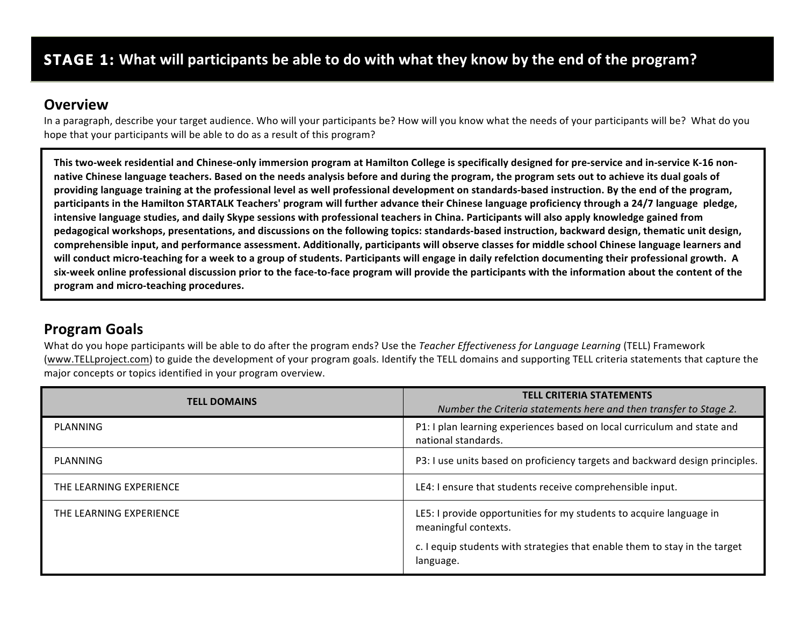### **Overview**

In a paragraph, describe your target audience. Who will your participants be? How will you know what the needs of your participants will be? What do you hope that your participants will be able to do as a result of this program?

This two-week residential and Chinese-only immersion program at Hamilton College is specifically designed for pre-service and in-service K-16 nonnative Chinese language teachers. Based on the needs analysis before and during the program, the program sets out to achieve its dual goals of providing language training at the professional level as well professional development on standards-based instruction. By the end of the program, participants in the Hamilton STARTALK Teachers' program will further advance their Chinese language proficiency through a 24/7 language pledge, intensive language studies, and daily Skype sessions with professional teachers in China. Participants will also apply knowledge gained from pedagogical workshops, presentations, and discussions on the following topics: standards-based instruction, backward design, thematic unit design, comprehensible input, and performance assessment. Additionally, participants will observe classes for middle school Chinese language learners and will conduct micro-teaching for a week to a group of students. Participants will engage in daily refelction documenting their professional growth. A six-week online professional discussion prior to the face-to-face program will provide the participants with the information about the content of the program and micro-teaching procedures.

## **Program Goals**

What do you hope participants will be able to do after the program ends? Use the *Teacher Effectiveness for Language Learning* (TELL) Framework (www.TELLproject.com) to guide the development of your program goals. Identify the TELL domains and supporting TELL criteria statements that capture the major concepts or topics identified in your program overview.

| <b>TELL DOMAINS</b>     | <b>TELL CRITERIA STATEMENTS</b><br>Number the Criteria statements here and then transfer to Stage 2.                                                                                   |
|-------------------------|----------------------------------------------------------------------------------------------------------------------------------------------------------------------------------------|
| PLANNING                | P1: I plan learning experiences based on local curriculum and state and<br>national standards.                                                                                         |
| PLANNING                | P3: I use units based on proficiency targets and backward design principles.                                                                                                           |
| THE LEARNING EXPERIENCE | LE4: I ensure that students receive comprehensible input.                                                                                                                              |
| THE LEARNING EXPERIENCE | LE5: I provide opportunities for my students to acquire language in<br>meaningful contexts.<br>c. I equip students with strategies that enable them to stay in the target<br>language. |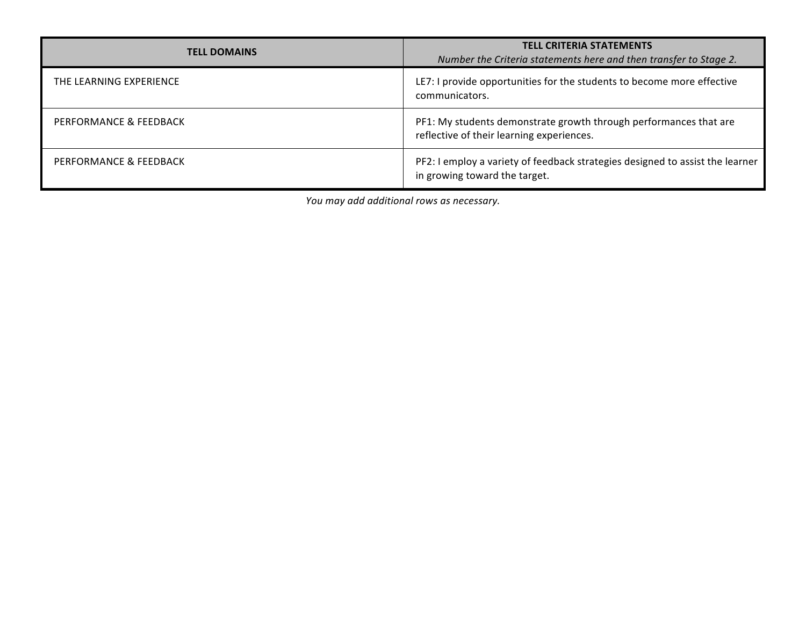| <b>TELL DOMAINS</b>     | <b>TELL CRITERIA STATEMENTS</b><br>Number the Criteria statements here and then transfer to Stage 2.           |
|-------------------------|----------------------------------------------------------------------------------------------------------------|
| THE LEARNING EXPERIENCE | LE7: I provide opportunities for the students to become more effective<br>communicators.                       |
| PERFORMANCE & FEEDBACK  | PF1: My students demonstrate growth through performances that are<br>reflective of their learning experiences. |
| PERFORMANCE & FEEDBACK  | PF2: I employ a variety of feedback strategies designed to assist the learner<br>in growing toward the target. |

*You may add additional rows as necessary.*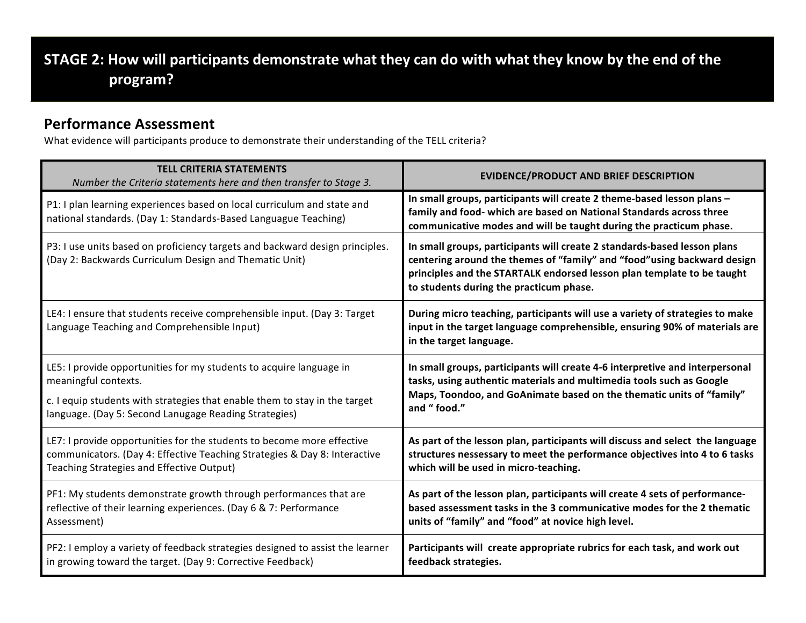# **STAGE 2:** How will participants demonstrate what they can do with what they know by the end of the **program?**

### **Performance Assessment**

What evidence will participants produce to demonstrate their understanding of the TELL criteria?

| <b>TELL CRITERIA STATEMENTS</b><br>Number the Criteria statements here and then transfer to Stage 3.                                       | <b>EVIDENCE/PRODUCT AND BRIEF DESCRIPTION</b>                                                                                                                                                                                                                             |
|--------------------------------------------------------------------------------------------------------------------------------------------|---------------------------------------------------------------------------------------------------------------------------------------------------------------------------------------------------------------------------------------------------------------------------|
| P1: I plan learning experiences based on local curriculum and state and<br>national standards. (Day 1: Standards-Based Languague Teaching) | In small groups, participants will create 2 theme-based lesson plans -<br>family and food- which are based on National Standards across three<br>communicative modes and will be taught during the practicum phase.                                                       |
| P3: I use units based on proficiency targets and backward design principles.<br>(Day 2: Backwards Curriculum Design and Thematic Unit)     | In small groups, participants will create 2 standards-based lesson plans<br>centering around the themes of "family" and "food" using backward design<br>principles and the STARTALK endorsed lesson plan template to be taught<br>to students during the practicum phase. |
| LE4: I ensure that students receive comprehensible input. (Day 3: Target<br>Language Teaching and Comprehensible Input)                    | During micro teaching, participants will use a variety of strategies to make<br>input in the target language comprehensible, ensuring 90% of materials are<br>in the target language.                                                                                     |
| LE5: I provide opportunities for my students to acquire language in                                                                        | In small groups, participants will create 4-6 interpretive and interpersonal                                                                                                                                                                                              |
| meaningful contexts.                                                                                                                       | tasks, using authentic materials and multimedia tools such as Google                                                                                                                                                                                                      |
| c. I equip students with strategies that enable them to stay in the target                                                                 | Maps, Toondoo, and GoAnimate based on the thematic units of "family"                                                                                                                                                                                                      |
| language. (Day 5: Second Lanugage Reading Strategies)                                                                                      | and "food."                                                                                                                                                                                                                                                               |
| LE7: I provide opportunities for the students to become more effective                                                                     | As part of the lesson plan, participants will discuss and select the language                                                                                                                                                                                             |
| communicators. (Day 4: Effective Teaching Strategies & Day 8: Interactive                                                                  | structures nessessary to meet the performance objectives into 4 to 6 tasks                                                                                                                                                                                                |
| Teaching Strategies and Effective Output)                                                                                                  | which will be used in micro-teaching.                                                                                                                                                                                                                                     |
| PF1: My students demonstrate growth through performances that are                                                                          | As part of the lesson plan, participants will create 4 sets of performance-                                                                                                                                                                                               |
| reflective of their learning experiences. (Day 6 & 7: Performance                                                                          | based assessment tasks in the 3 communicative modes for the 2 thematic                                                                                                                                                                                                    |
| Assessment)                                                                                                                                | units of "family" and "food" at novice high level.                                                                                                                                                                                                                        |
| PF2: I employ a variety of feedback strategies designed to assist the learner                                                              | Participants will create appropriate rubrics for each task, and work out                                                                                                                                                                                                  |
| in growing toward the target. (Day 9: Corrective Feedback)                                                                                 | feedback strategies.                                                                                                                                                                                                                                                      |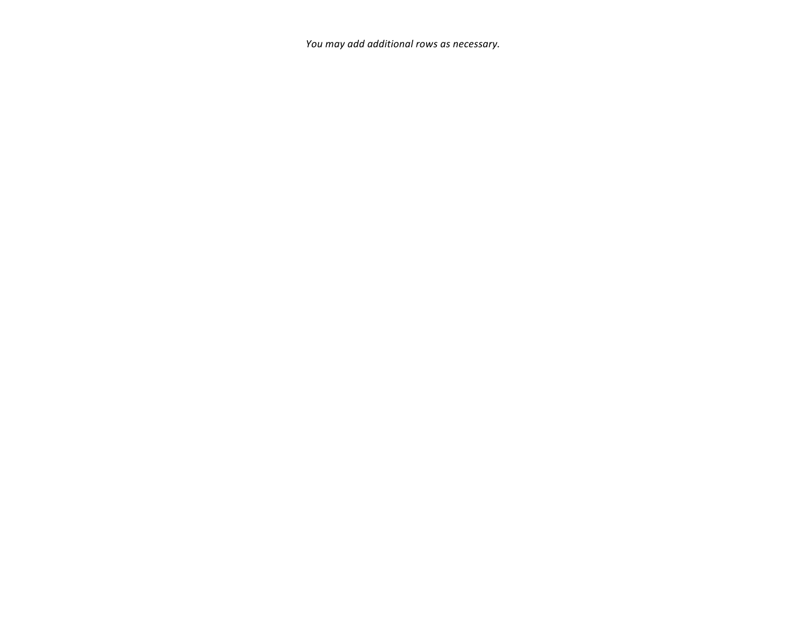You may add additional rows as necessary.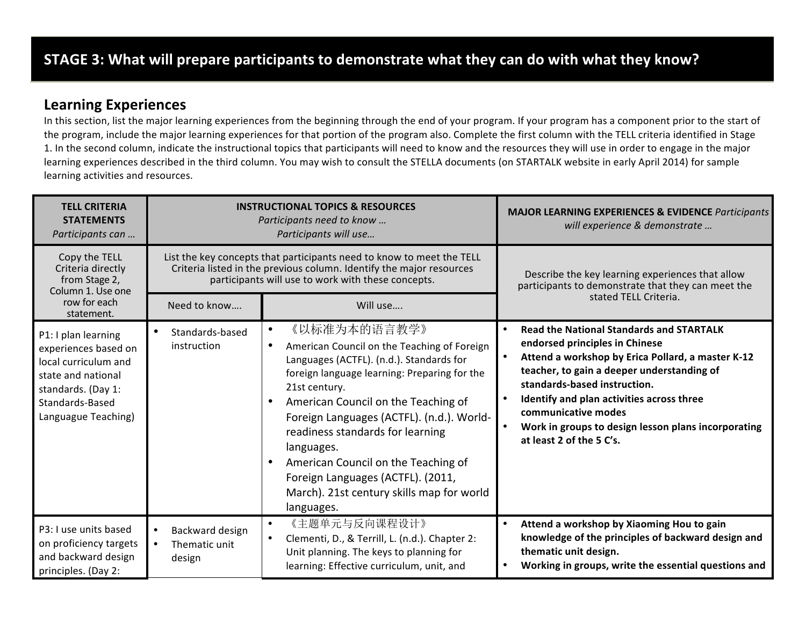### **Learning Experiences**

In this section, list the major learning experiences from the beginning through the end of your program. If your program has a component prior to the start of the program, include the major learning experiences for that portion of the program also. Complete the first column with the TELL criteria identified in Stage 1. In the second column, indicate the instructional topics that participants will need to know and the resources they will use in order to engage in the major learning experiences described in the third column. You may wish to consult the STELLA documents (on STARTALK website in early April 2014) for sample learning activities and resources.

| <b>TELL CRITERIA</b><br><b>STATEMENTS</b><br>Participants can                                                                                             | <b>INSTRUCTIONAL TOPICS &amp; RESOURCES</b><br>Participants need to know<br>Participants will use                                                                                                   |                                                                                                                                                                                                                                                                                                                                                                                                                                                       | <b>MAJOR LEARNING EXPERIENCES &amp; EVIDENCE Participants</b><br>will experience & demonstrate                                                                                                                                                                                                                                                                                           |
|-----------------------------------------------------------------------------------------------------------------------------------------------------------|-----------------------------------------------------------------------------------------------------------------------------------------------------------------------------------------------------|-------------------------------------------------------------------------------------------------------------------------------------------------------------------------------------------------------------------------------------------------------------------------------------------------------------------------------------------------------------------------------------------------------------------------------------------------------|------------------------------------------------------------------------------------------------------------------------------------------------------------------------------------------------------------------------------------------------------------------------------------------------------------------------------------------------------------------------------------------|
| Copy the TELL<br>Criteria directly<br>from Stage 2,<br>Column 1. Use one                                                                                  | List the key concepts that participants need to know to meet the TELL<br>Criteria listed in the previous column. Identify the major resources<br>participants will use to work with these concepts. |                                                                                                                                                                                                                                                                                                                                                                                                                                                       | Describe the key learning experiences that allow<br>participants to demonstrate that they can meet the                                                                                                                                                                                                                                                                                   |
| row for each<br>statement.                                                                                                                                | Need to know                                                                                                                                                                                        | Will use                                                                                                                                                                                                                                                                                                                                                                                                                                              | stated TELL Criteria.                                                                                                                                                                                                                                                                                                                                                                    |
| P1: I plan learning<br>experiences based on<br>local curriculum and<br>state and national<br>standards. (Day 1:<br>Standards-Based<br>Languague Teaching) | Standards-based<br>$\bullet$<br>instruction                                                                                                                                                         | 《以标准为本的语言教学》<br>American Council on the Teaching of Foreign<br>Languages (ACTFL). (n.d.). Standards for<br>foreign language learning: Preparing for the<br>21st century.<br>American Council on the Teaching of<br>Foreign Languages (ACTFL). (n.d.). World-<br>readiness standards for learning<br>languages.<br>American Council on the Teaching of<br>Foreign Languages (ACTFL). (2011,<br>March). 21st century skills map for world<br>languages. | <b>Read the National Standards and STARTALK</b><br>$\bullet$<br>endorsed principles in Chinese<br>Attend a workshop by Erica Pollard, a master K-12<br>teacher, to gain a deeper understanding of<br>standards-based instruction.<br>Identify and plan activities across three<br>communicative modes<br>Work in groups to design lesson plans incorporating<br>at least 2 of the 5 C's. |
| P3: I use units based<br>on proficiency targets<br>and backward design<br>principles. (Day 2:                                                             | Backward design<br>$\bullet$<br>Thematic unit<br>$\bullet$<br>design                                                                                                                                | 《主题单元与反向课程设计》<br>Clementi, D., & Terrill, L. (n.d.). Chapter 2:<br>Unit planning. The keys to planning for<br>learning: Effective curriculum, unit, and                                                                                                                                                                                                                                                                                               | Attend a workshop by Xiaoming Hou to gain<br>$\bullet$<br>knowledge of the principles of backward design and<br>thematic unit design.<br>Working in groups, write the essential questions and                                                                                                                                                                                            |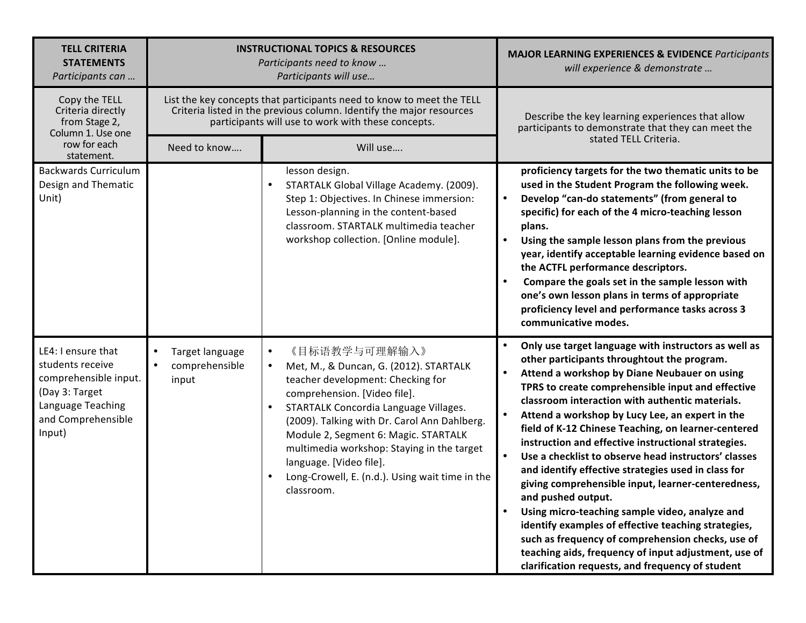| <b>TELL CRITERIA</b><br><b>STATEMENTS</b><br>Participants can                                                                          | <b>INSTRUCTIONAL TOPICS &amp; RESOURCES</b><br>Participants need to know<br>Participants will use |                                                                                                                                                                                                                                                                                                                                                                                                                                | <b>MAJOR LEARNING EXPERIENCES &amp; EVIDENCE Participants</b><br>will experience & demonstrate                                                                                                                                                                                                                                                                                                                                                                                                                                                                                                                                                                                                                                                                                                                                                                                                    |  |  |
|----------------------------------------------------------------------------------------------------------------------------------------|---------------------------------------------------------------------------------------------------|--------------------------------------------------------------------------------------------------------------------------------------------------------------------------------------------------------------------------------------------------------------------------------------------------------------------------------------------------------------------------------------------------------------------------------|---------------------------------------------------------------------------------------------------------------------------------------------------------------------------------------------------------------------------------------------------------------------------------------------------------------------------------------------------------------------------------------------------------------------------------------------------------------------------------------------------------------------------------------------------------------------------------------------------------------------------------------------------------------------------------------------------------------------------------------------------------------------------------------------------------------------------------------------------------------------------------------------------|--|--|
| Copy the TELL<br>Criteria directly<br>from Stage 2,<br>Column 1. Use one                                                               |                                                                                                   | List the key concepts that participants need to know to meet the TELL<br>Criteria listed in the previous column. Identify the major resources<br>participants will use to work with these concepts.                                                                                                                                                                                                                            | Describe the key learning experiences that allow<br>participants to demonstrate that they can meet the                                                                                                                                                                                                                                                                                                                                                                                                                                                                                                                                                                                                                                                                                                                                                                                            |  |  |
| row for each<br>statement.                                                                                                             | Need to know                                                                                      | Will use                                                                                                                                                                                                                                                                                                                                                                                                                       | stated TELL Criteria.                                                                                                                                                                                                                                                                                                                                                                                                                                                                                                                                                                                                                                                                                                                                                                                                                                                                             |  |  |
| <b>Backwards Curriculum</b><br>Design and Thematic<br>Unit)                                                                            |                                                                                                   | lesson design.<br>STARTALK Global Village Academy. (2009).<br>Step 1: Objectives. In Chinese immersion:<br>Lesson-planning in the content-based<br>classroom. STARTALK multimedia teacher<br>workshop collection. [Online module].                                                                                                                                                                                             | proficiency targets for the two thematic units to be<br>used in the Student Program the following week.<br>Develop "can-do statements" (from general to<br>specific) for each of the 4 micro-teaching lesson<br>plans.<br>Using the sample lesson plans from the previous<br>year, identify acceptable learning evidence based on<br>the ACTFL performance descriptors.<br>Compare the goals set in the sample lesson with<br>one's own lesson plans in terms of appropriate<br>proficiency level and performance tasks across 3<br>communicative modes.                                                                                                                                                                                                                                                                                                                                          |  |  |
| LE4: I ensure that<br>students receive<br>comprehensible input.<br>(Day 3: Target<br>Language Teaching<br>and Comprehensible<br>Input) | Target language<br>$\bullet$<br>comprehensible<br>$\bullet$<br>input                              | 《目标语教学与可理解输入》<br>٠<br>Met, M., & Duncan, G. (2012). STARTALK<br>٠<br>teacher development: Checking for<br>comprehension. [Video file].<br>STARTALK Concordia Language Villages.<br>$\bullet$<br>(2009). Talking with Dr. Carol Ann Dahlberg.<br>Module 2, Segment 6: Magic. STARTALK<br>multimedia workshop: Staying in the target<br>language. [Video file].<br>Long-Crowell, E. (n.d.). Using wait time in the<br>classroom. | Only use target language with instructors as well as<br>other participants throughtout the program.<br>Attend a workshop by Diane Neubauer on using<br>TPRS to create comprehensible input and effective<br>classroom interaction with authentic materials.<br>Attend a workshop by Lucy Lee, an expert in the<br>field of K-12 Chinese Teaching, on learner-centered<br>instruction and effective instructional strategies.<br>Use a checklist to observe head instructors' classes<br>and identify effective strategies used in class for<br>giving comprehensible input, learner-centeredness,<br>and pushed output.<br>Using micro-teaching sample video, analyze and<br>identify examples of effective teaching strategies,<br>such as frequency of comprehension checks, use of<br>teaching aids, frequency of input adjustment, use of<br>clarification requests, and frequency of student |  |  |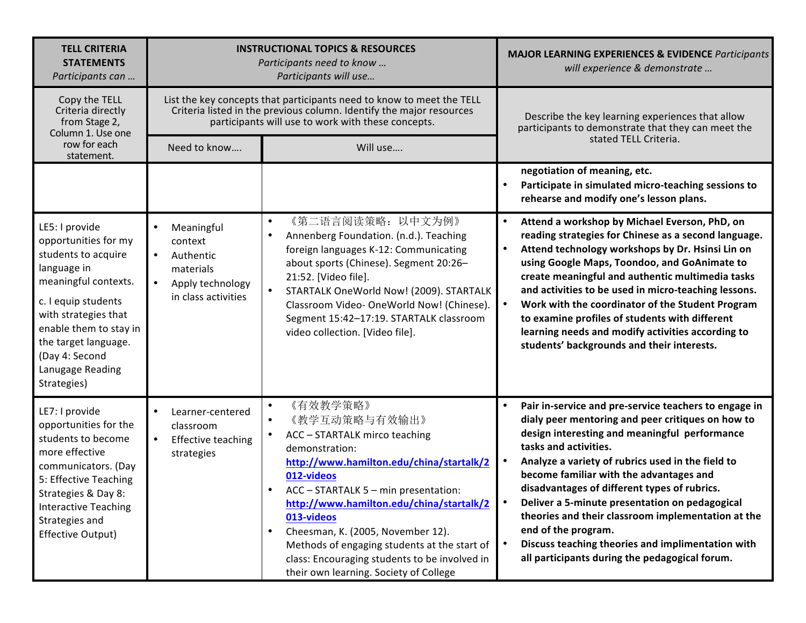| <b>TELL CRITERIA</b><br><b>STATEMENTS</b><br>Participants can                                                                                                                                                                                              | <b>INSTRUCTIONAL TOPICS &amp; RESOURCES</b><br>Participants need to know<br>Participants will use                                 |                                                                                                                                                                                                                                                                                                                                                                                                                                                                 | <b>MAJOR LEARNING EXPERIENCES &amp; EVIDENCE Participants</b><br>will experience & demonstrate                                                                                                                                                                                                                                                                                                                                                                                                                                                                             |
|------------------------------------------------------------------------------------------------------------------------------------------------------------------------------------------------------------------------------------------------------------|-----------------------------------------------------------------------------------------------------------------------------------|-----------------------------------------------------------------------------------------------------------------------------------------------------------------------------------------------------------------------------------------------------------------------------------------------------------------------------------------------------------------------------------------------------------------------------------------------------------------|----------------------------------------------------------------------------------------------------------------------------------------------------------------------------------------------------------------------------------------------------------------------------------------------------------------------------------------------------------------------------------------------------------------------------------------------------------------------------------------------------------------------------------------------------------------------------|
| Copy the TELL<br>Criteria directly<br>from Stage 2,<br>Column 1. Use one                                                                                                                                                                                   |                                                                                                                                   | List the key concepts that participants need to know to meet the TELL<br>Criteria listed in the previous column. Identify the major resources<br>participants will use to work with these concepts.                                                                                                                                                                                                                                                             | Describe the key learning experiences that allow<br>participants to demonstrate that they can meet the                                                                                                                                                                                                                                                                                                                                                                                                                                                                     |
| row for each<br>statement.                                                                                                                                                                                                                                 | Need to know                                                                                                                      | Will use                                                                                                                                                                                                                                                                                                                                                                                                                                                        | stated TELL Criteria.                                                                                                                                                                                                                                                                                                                                                                                                                                                                                                                                                      |
|                                                                                                                                                                                                                                                            |                                                                                                                                   |                                                                                                                                                                                                                                                                                                                                                                                                                                                                 | negotiation of meaning, etc.<br>Participate in simulated micro-teaching sessions to<br>rehearse and modify one's lesson plans.                                                                                                                                                                                                                                                                                                                                                                                                                                             |
| LE5: I provide<br>opportunities for my<br>students to acquire<br>language in<br>meaningful contexts.<br>c. I equip students<br>with strategies that<br>enable them to stay in<br>the target language.<br>(Day 4: Second<br>Lanugage Reading<br>Strategies) | Meaningful<br>$\bullet$<br>context<br>Authentic<br>$\bullet$<br>materials<br>$\bullet$<br>Apply technology<br>in class activities | 《第二语言阅读策略: 以中文为例》<br>$\bullet$<br>Annenberg Foundation. (n.d.). Teaching<br>$\bullet$<br>foreign languages K-12: Communicating<br>about sports (Chinese). Segment 20:26-<br>21:52. [Video file].<br>STARTALK OneWorld Now! (2009). STARTALK<br>Classroom Video-OneWorld Now! (Chinese).<br>Segment 15:42-17:19. STARTALK classroom<br>video collection. [Video file].                                                                                           | Attend a workshop by Michael Everson, PhD, on<br>reading strategies for Chinese as a second language.<br>Attend technology workshops by Dr. Hsinsi Lin on<br>$\bullet$<br>using Google Maps, Toondoo, and GoAnimate to<br>create meaningful and authentic multimedia tasks<br>and activities to be used in micro-teaching lessons.<br>Work with the coordinator of the Student Program<br>$\bullet$<br>to examine profiles of students with different<br>learning needs and modify activities according to<br>students' backgrounds and their interests.                   |
| LE7: I provide<br>opportunities for the<br>students to become<br>more effective<br>communicators. (Day<br>5: Effective Teaching<br>Strategies & Day 8:<br><b>Interactive Teaching</b><br>Strategies and<br>Effective Output)                               | Learner-centered<br>$\bullet$<br>classroom<br>$\bullet$<br><b>Effective teaching</b><br>strategies                                | 《有效教学策略》<br>$\bullet$<br>《教学互动策略与有效输出》<br>$\bullet$<br>ACC - STARTALK mirco teaching<br>demonstration:<br>http://www.hamilton.edu/china/startalk/2<br>012-videos<br>ACC - STARTALK 5 - min presentation:<br>http://www.hamilton.edu/china/startalk/2<br>013-videos<br>Cheesman, K. (2005, November 12).<br>$\bullet$<br>Methods of engaging students at the start of<br>class: Encouraging students to be involved in<br>their own learning. Society of College | Pair in-service and pre-service teachers to engage in<br>dialy peer mentoring and peer critiques on how to<br>design interesting and meaningful performance<br>tasks and activities.<br>Analyze a variety of rubrics used in the field to<br>become familiar with the advantages and<br>disadvantages of different types of rubrics.<br>Deliver a 5-minute presentation on pedagogical<br>theories and their classroom implementation at the<br>end of the program.<br>Discuss teaching theories and implimentation with<br>all participants during the pedagogical forum. |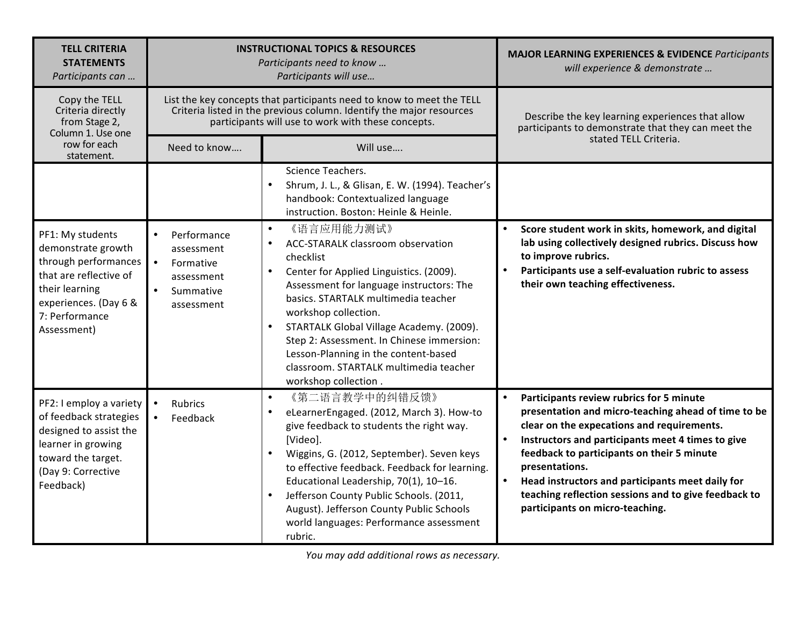| <b>TELL CRITERIA</b><br><b>STATEMENTS</b><br>Participants can                                                                                                        | <b>INSTRUCTIONAL TOPICS &amp; RESOURCES</b><br>Participants need to know<br>Participants will use                                                                                                   |                                                                                                                                                                                                                                                                                                                                                                                                                                                 | <b>MAJOR LEARNING EXPERIENCES &amp; EVIDENCE Participants</b><br>will experience & demonstrate                                                                                                                                                                                                                                                                                                                    |
|----------------------------------------------------------------------------------------------------------------------------------------------------------------------|-----------------------------------------------------------------------------------------------------------------------------------------------------------------------------------------------------|-------------------------------------------------------------------------------------------------------------------------------------------------------------------------------------------------------------------------------------------------------------------------------------------------------------------------------------------------------------------------------------------------------------------------------------------------|-------------------------------------------------------------------------------------------------------------------------------------------------------------------------------------------------------------------------------------------------------------------------------------------------------------------------------------------------------------------------------------------------------------------|
| Copy the TELL<br>Criteria directly<br>from Stage 2,<br>Column 1. Use one                                                                                             | List the key concepts that participants need to know to meet the TELL<br>Criteria listed in the previous column. Identify the major resources<br>participants will use to work with these concepts. |                                                                                                                                                                                                                                                                                                                                                                                                                                                 | Describe the key learning experiences that allow<br>participants to demonstrate that they can meet the                                                                                                                                                                                                                                                                                                            |
| row for each<br>statement.                                                                                                                                           | Need to know                                                                                                                                                                                        | Will use                                                                                                                                                                                                                                                                                                                                                                                                                                        | stated TELL Criteria.                                                                                                                                                                                                                                                                                                                                                                                             |
|                                                                                                                                                                      |                                                                                                                                                                                                     | Science Teachers.<br>Shrum, J. L., & Glisan, E. W. (1994). Teacher's<br>$\bullet$<br>handbook: Contextualized language<br>instruction. Boston: Heinle & Heinle.                                                                                                                                                                                                                                                                                 |                                                                                                                                                                                                                                                                                                                                                                                                                   |
| PF1: My students<br>demonstrate growth<br>through performances<br>that are reflective of<br>their learning<br>experiences. (Day 6 &<br>7: Performance<br>Assessment) | Performance<br>assessment<br>$\bullet$<br>Formative<br>assessment<br>Summative<br>assessment                                                                                                        | 《语言应用能力测试》<br>$\bullet$<br>ACC-STARALK classroom observation<br>checklist<br>Center for Applied Linguistics. (2009).<br>Assessment for language instructors: The<br>basics. STARTALK multimedia teacher<br>workshop collection.<br>STARTALK Global Village Academy. (2009).<br>$\bullet$<br>Step 2: Assessment. In Chinese immersion:<br>Lesson-Planning in the content-based<br>classroom. STARTALK multimedia teacher<br>workshop collection. | Score student work in skits, homework, and digital<br>lab using collectively designed rubrics. Discuss how<br>to improve rubrics.<br>Participants use a self-evaluation rubric to assess<br>their own teaching effectiveness.                                                                                                                                                                                     |
| PF2: I employ a variety<br>of feedback strategies<br>designed to assist the<br>learner in growing<br>toward the target.<br>(Day 9: Corrective<br>Feedback)           | Rubrics<br>$\bullet$<br>Feedback                                                                                                                                                                    | 《第二语言教学中的纠错反馈》<br>$\bullet$<br>eLearnerEngaged. (2012, March 3). How-to<br>give feedback to students the right way.<br>[Video].<br>Wiggins, G. (2012, September). Seven keys<br>to effective feedback. Feedback for learning.<br>Educational Leadership, 70(1), 10-16.<br>Jefferson County Public Schools. (2011,<br>$\bullet$<br>August). Jefferson County Public Schools<br>world languages: Performance assessment<br>rubric.                | Participants review rubrics for 5 minute<br>presentation and micro-teaching ahead of time to be<br>clear on the expecations and requirements.<br>Instructors and participants meet 4 times to give<br>feedback to participants on their 5 minute<br>presentations.<br>Head instructors and participants meet daily for<br>teaching reflection sessions and to give feedback to<br>participants on micro-teaching. |

You may add additional rows as necessary.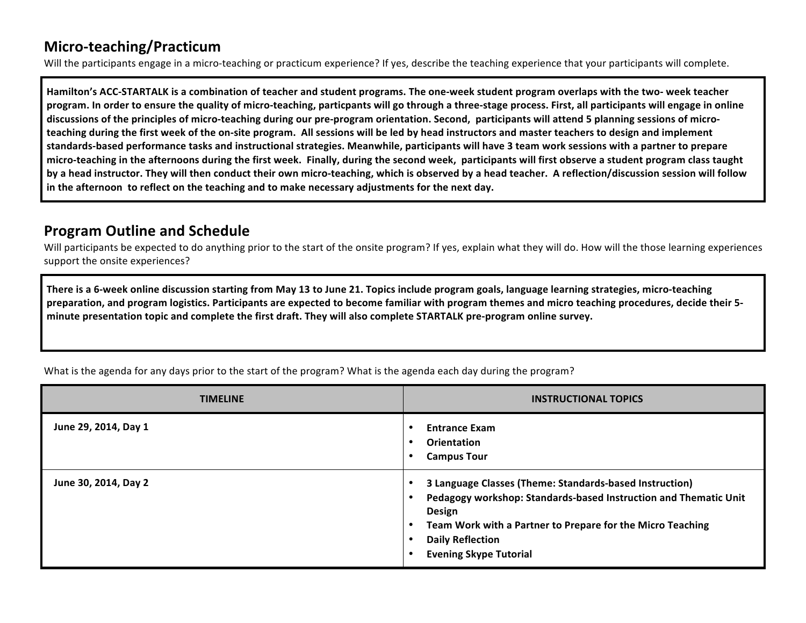## **Micro-teaching/Practicum**

Will the participants engage in a micro-teaching or practicum experience? If yes, describe the teaching experience that your participants will complete.

Hamilton's ACC-STARTALK is a combination of teacher and student programs. The one-week student program overlaps with the two- week teacher program. In order to ensure the quality of micro-teaching, particpants will go through a three-stage process. First, all participants will engage in online discussions of the principles of micro-teaching during our pre-program orientation. Second, participants will attend 5 planning sessions of microteaching during the first week of the on-site program. All sessions will be led by head instructors and master teachers to design and implement standards-based performance tasks and instructional strategies. Meanwhile, participants will have 3 team work sessions with a partner to prepare micro-teaching in the afternoons during the first week. Finally, during the second week, participants will first observe a student program class taught **by a head instructor. They will then conduct their own micro-teaching, which is observed by a head teacher. A reflection/discussion session will follow in the afternoon to reflect on the teaching and to make necessary adjustments for the next day.** 

### **Program Outline and Schedule**

Will participants be expected to do anything prior to the start of the onsite program? If yes, explain what they will do. How will the those learning experiences support the onsite experiences?

**There** is a 6-week online discussion starting from May 13 to June 21. Topics include program goals, language learning strategies, micro-teaching **preparation, and program logistics. Participants are expected to become familiar with program themes and micro teaching procedures, decide their 5**minute presentation topic and complete the first draft. They will also complete STARTALK pre-program online survey.

What is the agenda for any days prior to the start of the program? What is the agenda each day during the program?

| <b>TIMELINE</b>      | <b>INSTRUCTIONAL TOPICS</b>                                                                                                                                                                                                                                            |
|----------------------|------------------------------------------------------------------------------------------------------------------------------------------------------------------------------------------------------------------------------------------------------------------------|
| June 29, 2014, Day 1 | <b>Entrance Exam</b><br>Orientation<br><b>Campus Tour</b>                                                                                                                                                                                                              |
| June 30, 2014, Day 2 | 3 Language Classes (Theme: Standards-based Instruction)<br>Pedagogy workshop: Standards-based Instruction and Thematic Unit<br><b>Design</b><br>Team Work with a Partner to Prepare for the Micro Teaching<br><b>Daily Reflection</b><br><b>Evening Skype Tutorial</b> |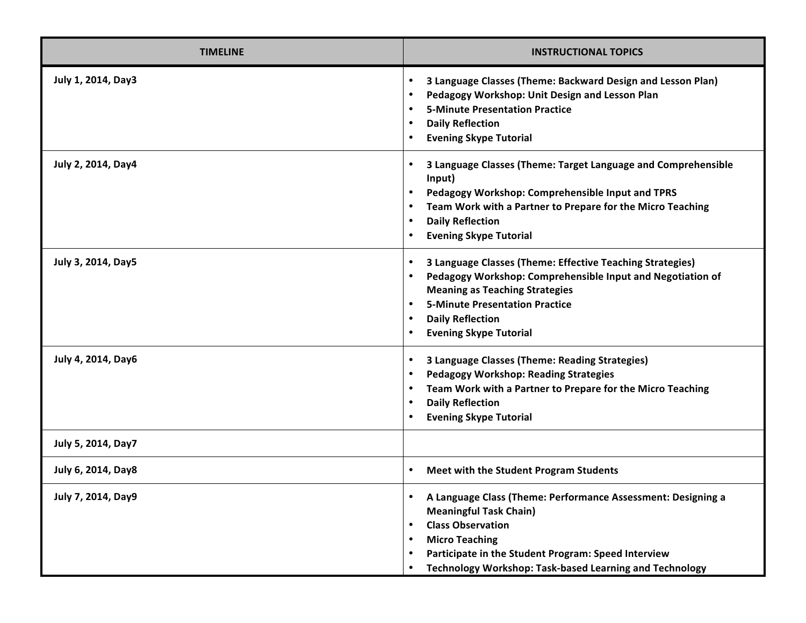| <b>TIMELINE</b>    | <b>INSTRUCTIONAL TOPICS</b>                                                                                                                                                                                                                                                                                  |
|--------------------|--------------------------------------------------------------------------------------------------------------------------------------------------------------------------------------------------------------------------------------------------------------------------------------------------------------|
| July 1, 2014, Day3 | 3 Language Classes (Theme: Backward Design and Lesson Plan)<br>$\bullet$<br>Pedagogy Workshop: Unit Design and Lesson Plan<br><b>5-Minute Presentation Practice</b><br><b>Daily Reflection</b><br>$\bullet$<br><b>Evening Skype Tutorial</b>                                                                 |
| July 2, 2014, Day4 | 3 Language Classes (Theme: Target Language and Comprehensible<br>$\bullet$<br>Input)<br>Pedagogy Workshop: Comprehensible Input and TPRS<br>Team Work with a Partner to Prepare for the Micro Teaching<br><b>Daily Reflection</b><br>$\bullet$<br><b>Evening Skype Tutorial</b>                              |
| July 3, 2014, Day5 | 3 Language Classes (Theme: Effective Teaching Strategies)<br>$\bullet$<br>Pedagogy Workshop: Comprehensible Input and Negotiation of<br>$\bullet$<br><b>Meaning as Teaching Strategies</b><br><b>5-Minute Presentation Practice</b><br><b>Daily Reflection</b><br>$\bullet$<br><b>Evening Skype Tutorial</b> |
| July 4, 2014, Day6 | 3 Language Classes (Theme: Reading Strategies)<br>$\bullet$<br><b>Pedagogy Workshop: Reading Strategies</b><br>Team Work with a Partner to Prepare for the Micro Teaching<br><b>Daily Reflection</b><br><b>Evening Skype Tutorial</b>                                                                        |
| July 5, 2014, Day7 |                                                                                                                                                                                                                                                                                                              |
| July 6, 2014, Day8 | Meet with the Student Program Students<br>$\bullet$                                                                                                                                                                                                                                                          |
| July 7, 2014, Day9 | A Language Class (Theme: Performance Assessment: Designing a<br><b>Meaningful Task Chain)</b><br><b>Class Observation</b><br>$\bullet$<br><b>Micro Teaching</b><br>Participate in the Student Program: Speed Interview<br><b>Technology Workshop: Task-based Learning and Technology</b><br>$\bullet$        |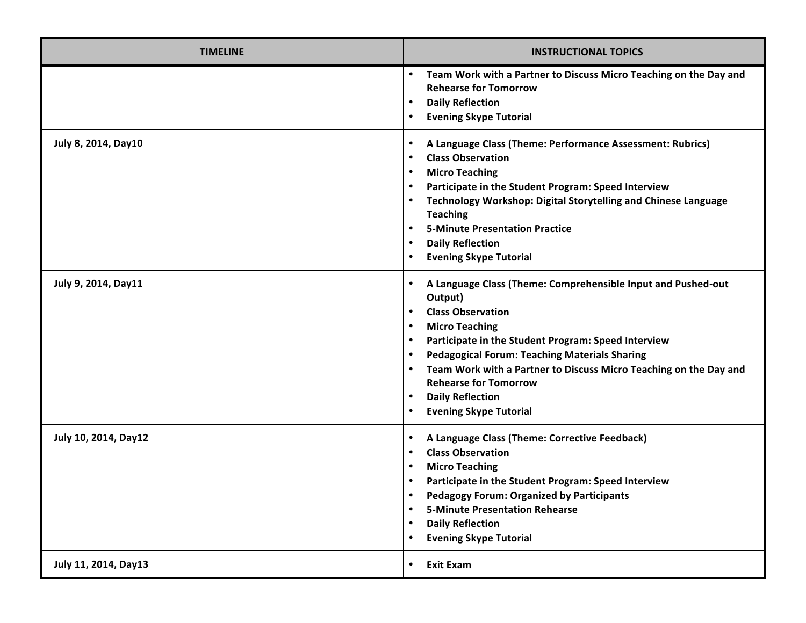| <b>TIMELINE</b>      | <b>INSTRUCTIONAL TOPICS</b>                                                                                                                                                                                                                                                                                                                                                                                                                                                                                          |
|----------------------|----------------------------------------------------------------------------------------------------------------------------------------------------------------------------------------------------------------------------------------------------------------------------------------------------------------------------------------------------------------------------------------------------------------------------------------------------------------------------------------------------------------------|
|                      | Team Work with a Partner to Discuss Micro Teaching on the Day and<br>$\bullet$<br><b>Rehearse for Tomorrow</b><br><b>Daily Reflection</b><br>$\bullet$<br><b>Evening Skype Tutorial</b><br>$\bullet$                                                                                                                                                                                                                                                                                                                 |
| July 8, 2014, Day10  | A Language Class (Theme: Performance Assessment: Rubrics)<br>$\bullet$<br><b>Class Observation</b><br>$\bullet$<br><b>Micro Teaching</b><br>$\bullet$<br>Participate in the Student Program: Speed Interview<br>$\bullet$<br>Technology Workshop: Digital Storytelling and Chinese Language<br>$\bullet$<br><b>Teaching</b><br><b>5-Minute Presentation Practice</b><br>$\bullet$<br><b>Daily Reflection</b><br>$\bullet$<br><b>Evening Skype Tutorial</b><br>$\bullet$                                              |
| July 9, 2014, Day11  | A Language Class (Theme: Comprehensible Input and Pushed-out<br>$\bullet$<br>Output)<br><b>Class Observation</b><br>$\bullet$<br><b>Micro Teaching</b><br>$\bullet$<br>Participate in the Student Program: Speed Interview<br>$\bullet$<br><b>Pedagogical Forum: Teaching Materials Sharing</b><br>$\bullet$<br>Team Work with a Partner to Discuss Micro Teaching on the Day and<br>$\bullet$<br><b>Rehearse for Tomorrow</b><br><b>Daily Reflection</b><br>$\bullet$<br><b>Evening Skype Tutorial</b><br>$\bullet$ |
| July 10, 2014, Day12 | A Language Class (Theme: Corrective Feedback)<br>$\bullet$<br><b>Class Observation</b><br>$\bullet$<br><b>Micro Teaching</b><br>$\bullet$<br>Participate in the Student Program: Speed Interview<br>$\bullet$<br><b>Pedagogy Forum: Organized by Participants</b><br><b>5-Minute Presentation Rehearse</b><br>$\bullet$<br><b>Daily Reflection</b><br>$\bullet$<br><b>Evening Skype Tutorial</b><br>$\bullet$                                                                                                        |
| July 11, 2014, Day13 | <b>Exit Exam</b><br>$\bullet$                                                                                                                                                                                                                                                                                                                                                                                                                                                                                        |